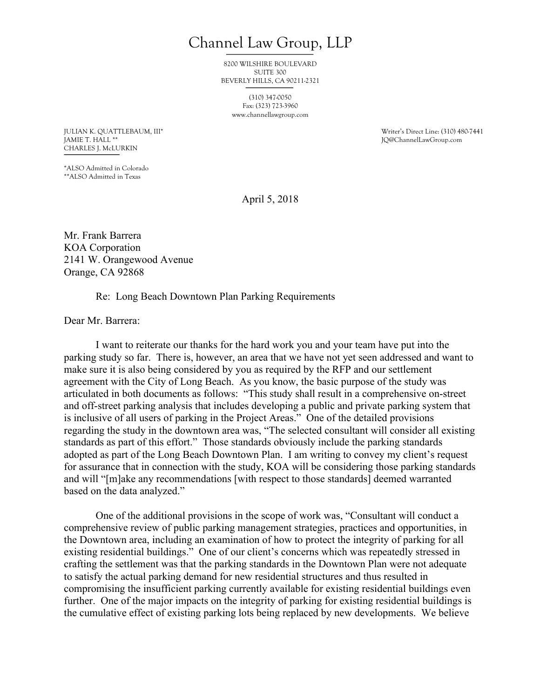Channel Law Group, LLP

8200 WILSHIRE BOULEVARD SUITE 300 BEVERLY HILLS, CA 90211-2321

> (310) 347-0050 Fax: (323) 723-3960 www.channellawgroup.com

CHARLES J. McLURKIN

JULIAN K. QUATTLEBAUM, III\* THE SERVICE OF STREET AND RELATED MYSTEMS OF STREET UNITS OF STREET AND A SERVICE T<br>THE STREET AND IN THE STREET AND RELATED MYSTEMS OF STREET AND RELATED MYSTEMS OF STREET AND RELATED MYSTEMS O JQ@ChannelLawGroup.com

\*ALSO Admitted in Colorado \*\*ALSO Admitted in Texas

April 5, 2018

Mr. Frank Barrera KOA Corporation 2141 W. Orangewood Avenue Orange, CA 92868

## Re: Long Beach Downtown Plan Parking Requirements

Dear Mr. Barrera:

I want to reiterate our thanks for the hard work you and your team have put into the parking study so far. There is, however, an area that we have not yet seen addressed and want to make sure it is also being considered by you as required by the RFP and our settlement agreement with the City of Long Beach. As you know, the basic purpose of the study was articulated in both documents as follows: "This study shall result in a comprehensive on-street and off-street parking analysis that includes developing a public and private parking system that is inclusive of all users of parking in the Project Areas." One of the detailed provisions regarding the study in the downtown area was, "The selected consultant will consider all existing standards as part of this effort." Those standards obviously include the parking standards adopted as part of the Long Beach Downtown Plan. I am writing to convey my client's request for assurance that in connection with the study, KOA will be considering those parking standards and will "[m]ake any recommendations [with respect to those standards] deemed warranted based on the data analyzed."

One of the additional provisions in the scope of work was, "Consultant will conduct a comprehensive review of public parking management strategies, practices and opportunities, in the Downtown area, including an examination of how to protect the integrity of parking for all existing residential buildings." One of our client's concerns which was repeatedly stressed in crafting the settlement was that the parking standards in the Downtown Plan were not adequate to satisfy the actual parking demand for new residential structures and thus resulted in compromising the insufficient parking currently available for existing residential buildings even further. One of the major impacts on the integrity of parking for existing residential buildings is the cumulative effect of existing parking lots being replaced by new developments. We believe